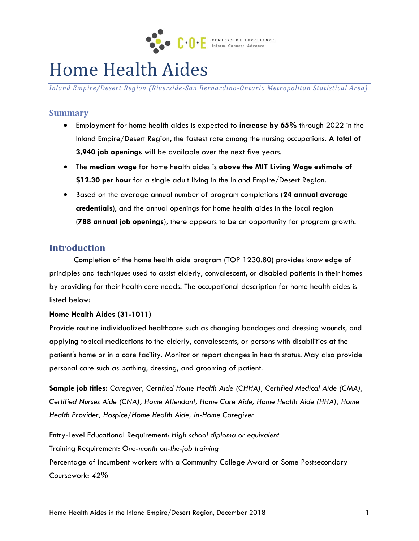

# Home Health Aides

*Inland Empire/Desert Region (Riverside-San Bernardino-Ontario Metropolitan Statistical Area)*

#### **Summary**

- Employment for home health aides is expected to **increase by 65%** through 2022 in the Inland Empire/Desert Region, the fastest rate among the nursing occupations. **A total of 3,940 job openings** will be available over the next five years.
- The **median wage** for home health aides is **above the MIT Living Wage estimate of \$12.30 per hour** for a single adult living in the Inland Empire/Desert Region.
- Based on the average annual number of program completions (**24 annual average credentials**), and the annual openings for home health aides in the local region (**788 annual job openings**), there appears to be an opportunity for program growth.

#### **Introduction**

Completion of the home health aide program (TOP 1230.80) provides knowledge of principles and techniques used to assist elderly, convalescent, or disabled patients in their homes by providing for their health care needs. The occupational description for home health aides is listed below:

#### **Home Health Aides (31-1011)**

Provide routine individualized healthcare such as changing bandages and dressing wounds, and applying topical medications to the elderly, convalescents, or persons with disabilities at the patient's home or in a care facility. Monitor or report changes in health status. May also provide personal care such as bathing, dressing, and grooming of patient.

**Sample job titles:** *Caregiver, Certified Home Health Aide (CHHA), Certified Medical Aide (CMA), Certified Nurses Aide (CNA), Home Attendant, Home Care Aide, Home Health Aide (HHA), Home Health Provider, Hospice/Home Health Aide, In-Home Caregiver*

Entry-Level Educational Requirement: *High school diploma or equivalent* Training Requirement: *One-month on-the-job training* Percentage of incumbent workers with a Community College Award or Some Postsecondary Coursework: *42%*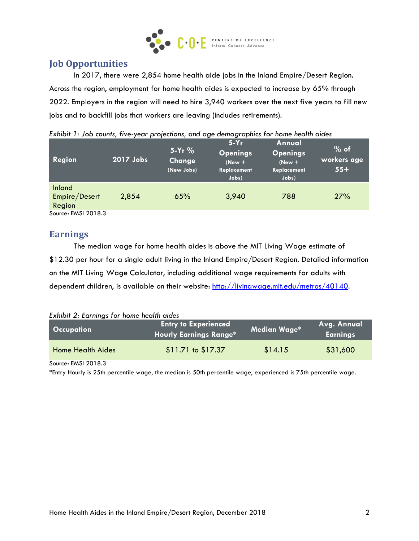

# **Job Opportunities**

In 2017, there were 2,854 home health aide jobs in the Inland Empire/Desert Region. Across the region, employment for home health aides is expected to increase by 65% through 2022. Employers in the region will need to hire 3,940 workers over the next five years to fill new jobs and to backfill jobs that workers are leaving (includes retirements).

| Region                            | 2017 Jobs | $5-Yr$ %<br>Change<br>(New Jobs) | $\tilde{}$<br>$5-Yr$<br><b>Openings</b><br>$(New +$<br>Replacement<br>Jobs) | Annual<br><b>Openings</b><br>$New +$<br>Replacement<br>Jobs) | $%$ of<br>workers age<br>$55+$ |
|-----------------------------------|-----------|----------------------------------|-----------------------------------------------------------------------------|--------------------------------------------------------------|--------------------------------|
| Inland<br>Empire/Desert<br>Region | 2,854     | 65%                              | 3,940                                                                       | 788                                                          | 27%                            |

|  |  |  | Exhibit 1: Job counts, five-year projections, and age demographics for home health aides |  |  |
|--|--|--|------------------------------------------------------------------------------------------|--|--|
|  |  |  |                                                                                          |  |  |

Source: EMSI 2018.3

### **Earnings**

The median wage for home health aides is above the MIT Living Wage estimate of \$12.30 per hour for a single adult living in the Inland Empire/Desert Region. Detailed information on the MIT Living Wage Calculator, including additional wage requirements for adults with dependent children, is available on their website: [http://livingwage.mit.edu/metros/40140.](http://livingwage.mit.edu/metros/40140)

| Exhibit 2: Earnings for home health aides |
|-------------------------------------------|
|-------------------------------------------|

| <b>Occupation</b>        | <b>Entry to Experienced</b><br>Hourly Earnings Range* | Median Wage* | Avg. Annual<br>  Earnings <sup> </sup> |
|--------------------------|-------------------------------------------------------|--------------|----------------------------------------|
| <b>Home Health Aides</b> | $$11.71$ to $$17.37$                                  | \$14.15      | \$31,600                               |

Source: EMSI 2018.3

\*Entry Hourly is 25th percentile wage, the median is 50th percentile wage, experienced is 75th percentile wage.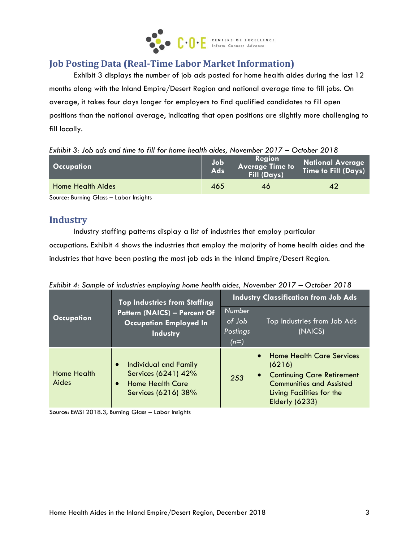

# **Job Posting Data (Real-Time Labor Market Information)**

Exhibit 3 displays the number of job ads posted for home health aides during the last 12 months along with the Inland Empire/Desert Region and national average time to fill jobs. On average, it takes four days longer for employers to find qualified candidates to fill open positions than the national average, indicating that open positions are slightly more challenging to fill locally.

|  |  |  |  |  |  |  |  |  |  |  |  |  | Exhibit 3: Job ads and time to fill for home health aides, November 2017 – October 2018 |  |  |  |  |  |
|--|--|--|--|--|--|--|--|--|--|--|--|--|-----------------------------------------------------------------------------------------|--|--|--|--|--|
|--|--|--|--|--|--|--|--|--|--|--|--|--|-----------------------------------------------------------------------------------------|--|--|--|--|--|

|     | Time to Fill (Days)       |
|-----|---------------------------|
| 46  | 42                        |
| 465 | <b>Ads</b><br>Fill (Days) |

Source: Burning Glass – Labor Insights

# **Industry**

Industry staffing patterns display a list of industries that employ particular occupations. Exhibit 4 shows the industries that employ the majority of home health aides and the industries that have been posting the most job ads in the Inland Empire/Desert Region.

*Exhibit 4: Sample of industries employing home health aides, November 2017 – October 2018*

|                      | <b>Top Industries from Staffing</b>                                                                                             | <b>Industry Classification from Job Ads</b>                                                                                                                                                               |  |  |  |  |
|----------------------|---------------------------------------------------------------------------------------------------------------------------------|-----------------------------------------------------------------------------------------------------------------------------------------------------------------------------------------------------------|--|--|--|--|
| <b>Occupation</b>    | <b>Pattern (NAICS) - Percent Of</b><br><b>Occupation Employed In</b><br><b>Industry</b>                                         | Number<br>of Job<br>Top Industries from Job Ads<br>(NAICS)<br>Postings<br>$(n=)$                                                                                                                          |  |  |  |  |
| Home Health<br>Aides | <b>Individual and Family</b><br>$\bullet$<br>Services (6241) 42%<br><b>Home Health Care</b><br>$\bullet$<br>Services (6216) 38% | <b>Home Health Care Services</b><br>$\bullet$<br>(6216)<br><b>Continuing Care Retirement</b><br>$\bullet$<br>253<br><b>Communities and Assisted</b><br>Living Facilities for the<br><b>Elderly (6233)</b> |  |  |  |  |

Source: EMSI 2018.3, Burning Glass – Labor Insights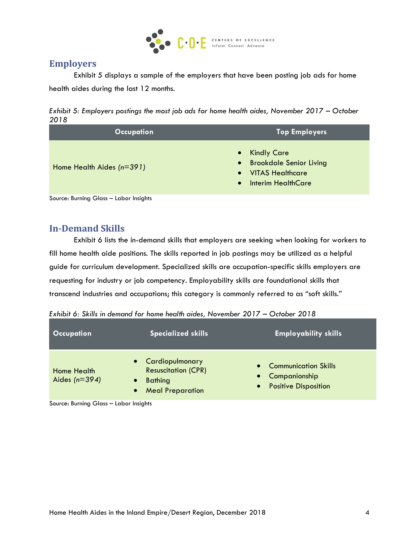

### **Employers**

Exhibit 5 displays a sample of the employers that have been posting job ads for home health aides during the last 12 months.



| <b>Occupation</b>           | <b>Top Employers</b>                                                                                                                           |
|-----------------------------|------------------------------------------------------------------------------------------------------------------------------------------------|
| Home Health Aides $(n=391)$ | <b>Kindly Care</b><br>$\bullet$<br>• Brookdale Senior Living<br><b>VITAS Healthcare</b><br>$\bullet$<br><b>Interim HealthCare</b><br>$\bullet$ |

Source: Burning Glass – Labor Insights

# **In-Demand Skills**

Exhibit 6 lists the in-demand skills that employers are seeking when looking for workers to fill home health aide positions. The skills reported in job postings may be utilized as a helpful guide for curriculum development. Specialized skills are occupation-specific skills employers are requesting for industry or job competency. Employability skills are foundational skills that transcend industries and occupations; this category is commonly referred to as "soft skills."

|  | Exhibit 6: Skills in demand for home health aides, November 2017 – October 2018 |
|--|---------------------------------------------------------------------------------|
|  |                                                                                 |

| <b>Occupation</b>                                          | <b>Specialized skills</b>                                                                    | <b>Employability skills</b>                                                 |
|------------------------------------------------------------|----------------------------------------------------------------------------------------------|-----------------------------------------------------------------------------|
| Home Health<br>Aides ( $n=394$ )<br>$\bullet$<br>$\bullet$ | • Cardiopulmonary<br><b>Resuscitation (CPR)</b><br><b>Bathing</b><br><b>Meal Preparation</b> | <b>Communication Skills</b><br>Companionship<br><b>Positive Disposition</b> |

Source: Burning Glass – Labor Insights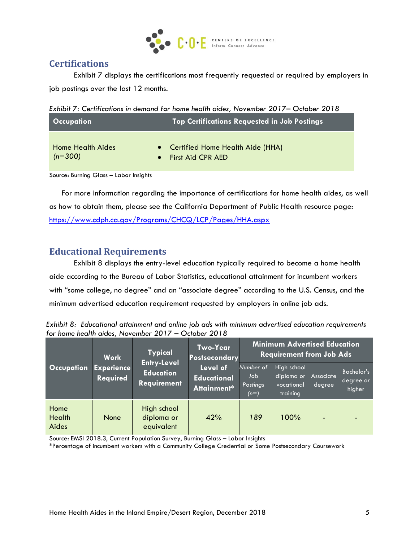

# **Certifications**

Exhibit 7 displays the certifications most frequently requested or required by employers in job postings over the last 12 months.

*Exhibit 7: Certifications in demand for home health aides, November 2017– October 2018*

| <b>Occupation</b>        | <b>Top Certifications Requested in Job Postings</b> |
|--------------------------|-----------------------------------------------------|
| <b>Home Health Aides</b> | • Certified Home Health Aide (HHA)                  |
| $(n=300)$                | • First Aid CPR AED                                 |

Source: Burning Glass – Labor Insights

For more information regarding the importance of certifications for home health aides, as well as how to obtain them, please see the California Department of Public Health resource page: <https://www.cdph.ca.gov/Programs/CHCQ/LCP/Pages/HHA.aspx>

# **Educational Requirements**

Exhibit 8 displays the entry-level education typically required to become a home health aide according to the Bureau of Labor Statistics, educational attainment for incumbent workers with "some college, no degree" and an "associate degree" according to the U.S. Census, and the minimum advertised education requirement requested by employers in online job ads.

*Exhibit 8: Educational attainment and online job ads with minimum advertised education requirements for home health aides, November 2017 – October 2018*

| <b>Occupation</b>              | <b>Work</b>                   | <b>Typical</b>                                               | <b>Two-Year</b><br>Postsecondary              | <b>Minimum Advertised Education</b><br><b>Requirement from Job Ads</b> |                                                     |                     |                                   |  |  |
|--------------------------------|-------------------------------|--------------------------------------------------------------|-----------------------------------------------|------------------------------------------------------------------------|-----------------------------------------------------|---------------------|-----------------------------------|--|--|
|                                | <b>Experience</b><br>Required | <b>Entry-Level</b><br><b>Education</b><br><b>Requirement</b> | Level of<br><b>Educational</b><br>Attainment* | Number of<br>Job<br>Postings<br>$(n=)$                                 | High school<br>diploma or<br>vocational<br>trainina | Associate<br>degree | Bachelor's<br>degree or<br>higher |  |  |
| Home<br><b>Health</b><br>Aides | None                          | High school<br>diploma or<br>equivalent                      | 42%                                           | 189                                                                    | 100%                                                | $\blacksquare$      |                                   |  |  |

Source: EMSI 2018.3, Current Population Survey, Burning Glass – Labor Insights

\*Percentage of incumbent workers with a Community College Credential or Some Postsecondary Coursework